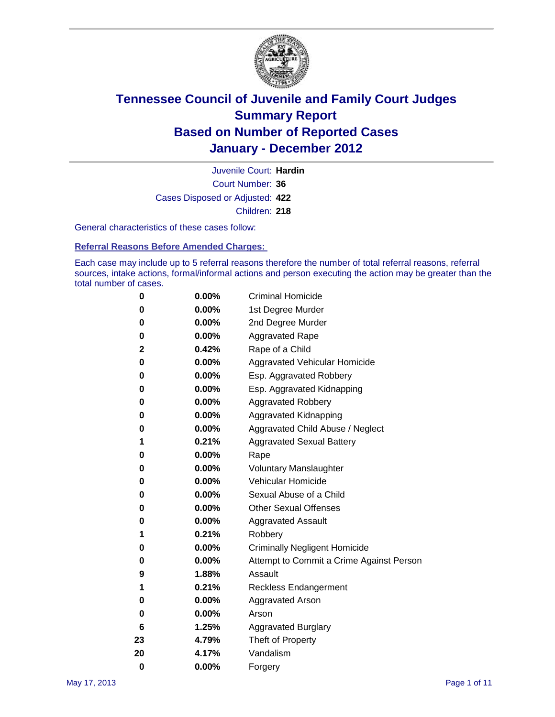

Court Number: **36** Juvenile Court: **Hardin** Cases Disposed or Adjusted: **422** Children: **218**

General characteristics of these cases follow:

**Referral Reasons Before Amended Charges:** 

Each case may include up to 5 referral reasons therefore the number of total referral reasons, referral sources, intake actions, formal/informal actions and person executing the action may be greater than the total number of cases.

| 0  | 0.00% | <b>Criminal Homicide</b>                 |
|----|-------|------------------------------------------|
| 0  | 0.00% | 1st Degree Murder                        |
| 0  | 0.00% | 2nd Degree Murder                        |
| 0  | 0.00% | <b>Aggravated Rape</b>                   |
| 2  | 0.42% | Rape of a Child                          |
| 0  | 0.00% | Aggravated Vehicular Homicide            |
| 0  | 0.00% | Esp. Aggravated Robbery                  |
| 0  | 0.00% | Esp. Aggravated Kidnapping               |
| 0  | 0.00% | <b>Aggravated Robbery</b>                |
| 0  | 0.00% | Aggravated Kidnapping                    |
| 0  | 0.00% | Aggravated Child Abuse / Neglect         |
| 1  | 0.21% | <b>Aggravated Sexual Battery</b>         |
| 0  | 0.00% | Rape                                     |
| 0  | 0.00% | <b>Voluntary Manslaughter</b>            |
| 0  | 0.00% | Vehicular Homicide                       |
| 0  | 0.00% | Sexual Abuse of a Child                  |
| 0  | 0.00% | <b>Other Sexual Offenses</b>             |
| 0  | 0.00% | <b>Aggravated Assault</b>                |
| 1  | 0.21% | Robbery                                  |
| 0  | 0.00% | <b>Criminally Negligent Homicide</b>     |
| 0  | 0.00% | Attempt to Commit a Crime Against Person |
| 9  | 1.88% | Assault                                  |
| 1  | 0.21% | <b>Reckless Endangerment</b>             |
| 0  | 0.00% | <b>Aggravated Arson</b>                  |
| 0  | 0.00% | Arson                                    |
| 6  | 1.25% | <b>Aggravated Burglary</b>               |
| 23 | 4.79% | Theft of Property                        |
| 20 | 4.17% | Vandalism                                |
| 0  | 0.00% | Forgery                                  |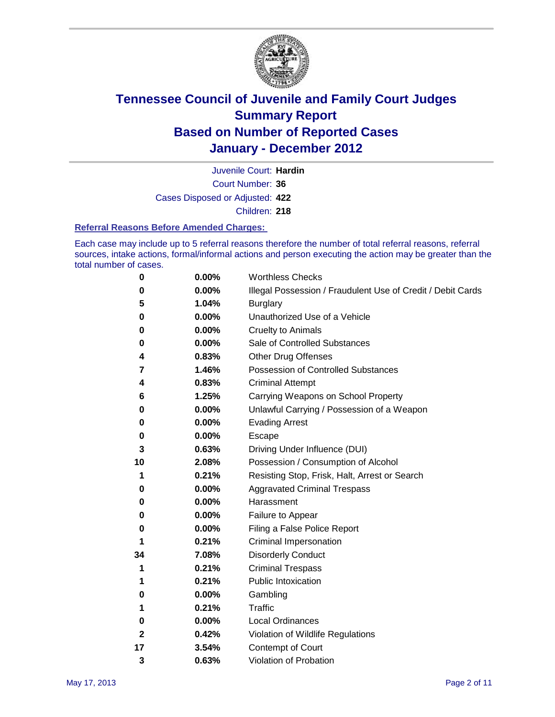

Court Number: **36** Juvenile Court: **Hardin** Cases Disposed or Adjusted: **422** Children: **218**

#### **Referral Reasons Before Amended Charges:**

Each case may include up to 5 referral reasons therefore the number of total referral reasons, referral sources, intake actions, formal/informal actions and person executing the action may be greater than the total number of cases.

| 0  | 0.00%    | <b>Worthless Checks</b>                                     |
|----|----------|-------------------------------------------------------------|
| 0  | 0.00%    | Illegal Possession / Fraudulent Use of Credit / Debit Cards |
| 5  | 1.04%    | <b>Burglary</b>                                             |
| 0  | 0.00%    | Unauthorized Use of a Vehicle                               |
| 0  | $0.00\%$ | <b>Cruelty to Animals</b>                                   |
| 0  | 0.00%    | Sale of Controlled Substances                               |
| 4  | 0.83%    | <b>Other Drug Offenses</b>                                  |
| 7  | 1.46%    | <b>Possession of Controlled Substances</b>                  |
| 4  | 0.83%    | <b>Criminal Attempt</b>                                     |
| 6  | 1.25%    | Carrying Weapons on School Property                         |
| 0  | 0.00%    | Unlawful Carrying / Possession of a Weapon                  |
| 0  | 0.00%    | <b>Evading Arrest</b>                                       |
| 0  | $0.00\%$ | Escape                                                      |
| 3  | 0.63%    | Driving Under Influence (DUI)                               |
| 10 | 2.08%    | Possession / Consumption of Alcohol                         |
| 1  | 0.21%    | Resisting Stop, Frisk, Halt, Arrest or Search               |
| 0  | $0.00\%$ | <b>Aggravated Criminal Trespass</b>                         |
| 0  | $0.00\%$ | Harassment                                                  |
| 0  | 0.00%    | Failure to Appear                                           |
| 0  | 0.00%    | Filing a False Police Report                                |
| 1  | 0.21%    | Criminal Impersonation                                      |
| 34 | 7.08%    | <b>Disorderly Conduct</b>                                   |
| 1  | 0.21%    | <b>Criminal Trespass</b>                                    |
| 1  | 0.21%    | <b>Public Intoxication</b>                                  |
| 0  | $0.00\%$ | Gambling                                                    |
| 1  | 0.21%    | Traffic                                                     |
| 0  | $0.00\%$ | <b>Local Ordinances</b>                                     |
| 2  | 0.42%    | Violation of Wildlife Regulations                           |
| 17 | 3.54%    | Contempt of Court                                           |
| 3  | 0.63%    | Violation of Probation                                      |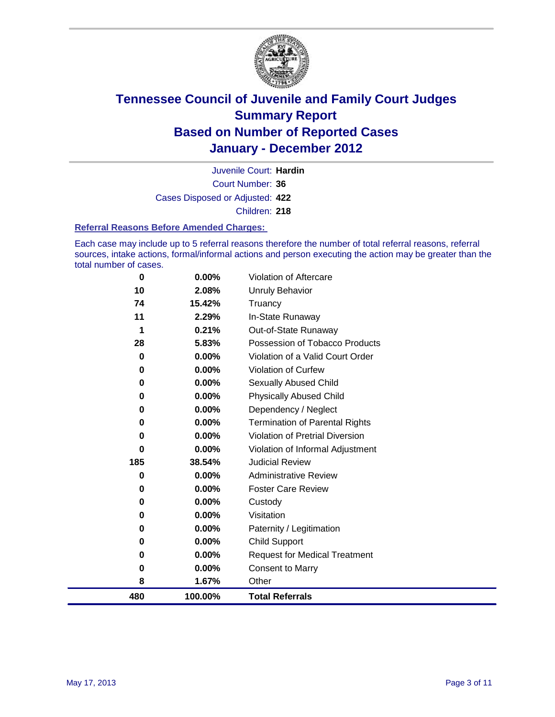

Court Number: **36** Juvenile Court: **Hardin** Cases Disposed or Adjusted: **422** Children: **218**

#### **Referral Reasons Before Amended Charges:**

Each case may include up to 5 referral reasons therefore the number of total referral reasons, referral sources, intake actions, formal/informal actions and person executing the action may be greater than the total number of cases.

| 0        | 0.00%    | Violation of Aftercare                 |
|----------|----------|----------------------------------------|
| 10       | 2.08%    | Unruly Behavior                        |
| 74       | 15.42%   | Truancy                                |
| 11       | 2.29%    | In-State Runaway                       |
| 1        | 0.21%    | Out-of-State Runaway                   |
| 28       | 5.83%    | Possession of Tobacco Products         |
| $\bf{0}$ | 0.00%    | Violation of a Valid Court Order       |
| 0        | 0.00%    | Violation of Curfew                    |
| 0        | 0.00%    | <b>Sexually Abused Child</b>           |
| 0        | 0.00%    | <b>Physically Abused Child</b>         |
| 0        | 0.00%    | Dependency / Neglect                   |
| 0        | 0.00%    | <b>Termination of Parental Rights</b>  |
| 0        | 0.00%    | <b>Violation of Pretrial Diversion</b> |
| 0        | 0.00%    | Violation of Informal Adjustment       |
| 185      | 38.54%   | <b>Judicial Review</b>                 |
| 0        | $0.00\%$ | <b>Administrative Review</b>           |
| 0        | 0.00%    | <b>Foster Care Review</b>              |
| 0        | 0.00%    | Custody                                |
| 0        | 0.00%    | Visitation                             |
| 0        | 0.00%    | Paternity / Legitimation               |
| 0        | 0.00%    | <b>Child Support</b>                   |
| 0        | 0.00%    | <b>Request for Medical Treatment</b>   |
| 0        | 0.00%    | <b>Consent to Marry</b>                |
| 8        | 1.67%    | Other                                  |
| 480      | 100.00%  | <b>Total Referrals</b>                 |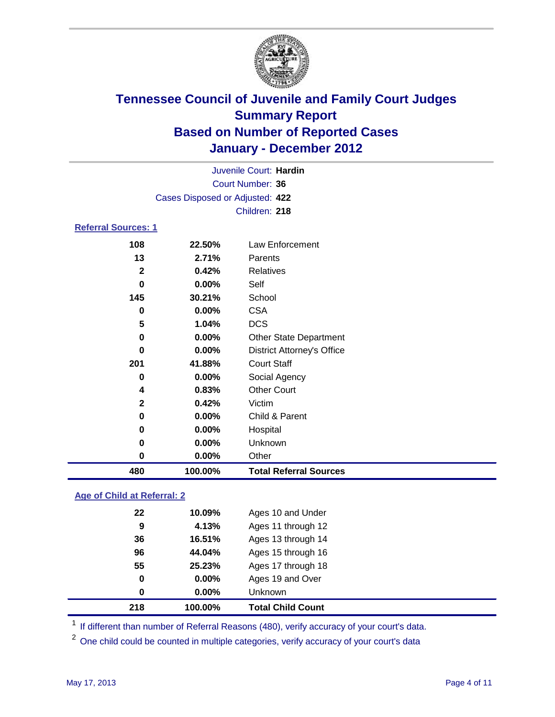

| 480                        | 100.00%                         | <b>Total Referral Sources</b>     |  |  |  |
|----------------------------|---------------------------------|-----------------------------------|--|--|--|
| 0                          | 0.00%                           | Other                             |  |  |  |
| 0                          | 0.00%                           | Unknown                           |  |  |  |
| 0                          | 0.00%                           | Hospital                          |  |  |  |
| 0                          | 0.00%                           | Child & Parent                    |  |  |  |
| $\mathbf{2}$               | 0.42%                           | Victim                            |  |  |  |
| 4                          | 0.83%                           | <b>Other Court</b>                |  |  |  |
| 0                          | 0.00%                           | Social Agency                     |  |  |  |
| 201                        | 41.88%                          | <b>Court Staff</b>                |  |  |  |
| $\bf{0}$                   | 0.00%                           | <b>District Attorney's Office</b> |  |  |  |
| 0                          | 0.00%                           | <b>Other State Department</b>     |  |  |  |
| 5                          | 1.04%                           | <b>DCS</b>                        |  |  |  |
| 0                          | 0.00%                           | <b>CSA</b>                        |  |  |  |
| 145                        | 30.21%                          | School                            |  |  |  |
| $\bf{0}$                   | 0.00%                           | Self                              |  |  |  |
| $\overline{2}$             | 0.42%                           | <b>Relatives</b>                  |  |  |  |
| 13                         | 2.71%                           | Parents                           |  |  |  |
| 108                        | 22.50%                          | Law Enforcement                   |  |  |  |
| <b>Referral Sources: 1</b> |                                 |                                   |  |  |  |
|                            |                                 | Children: 218                     |  |  |  |
|                            | Cases Disposed or Adjusted: 422 |                                   |  |  |  |
|                            |                                 |                                   |  |  |  |
|                            | Court Number: 36                |                                   |  |  |  |
|                            |                                 | Juvenile Court: Hardin            |  |  |  |

### **Age of Child at Referral: 2**

| 218 | 100.00% | <b>Total Child Count</b> |  |
|-----|---------|--------------------------|--|
| 0   | 0.00%   | Unknown                  |  |
| 0   | 0.00%   | Ages 19 and Over         |  |
| 55  | 25.23%  | Ages 17 through 18       |  |
| 96  | 44.04%  | Ages 15 through 16       |  |
| 36  | 16.51%  | Ages 13 through 14       |  |
| 9   | 4.13%   | Ages 11 through 12       |  |
| 22  | 10.09%  | Ages 10 and Under        |  |
|     |         |                          |  |

<sup>1</sup> If different than number of Referral Reasons (480), verify accuracy of your court's data.

<sup>2</sup> One child could be counted in multiple categories, verify accuracy of your court's data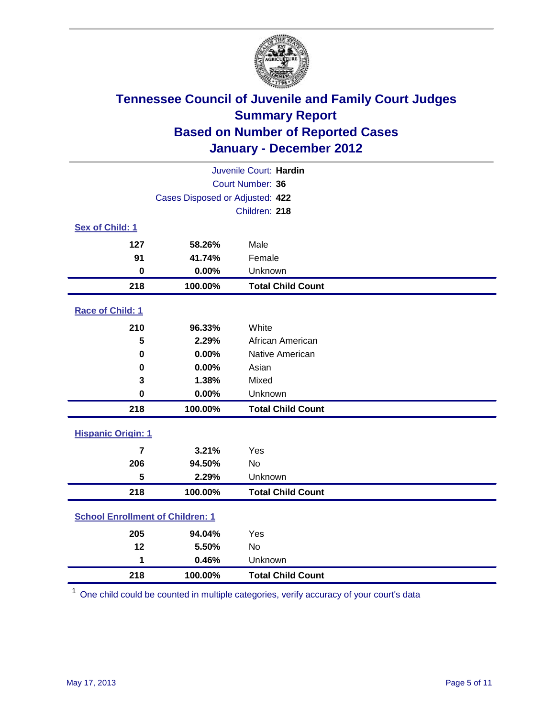

| Juvenile Court: Hardin                  |                                 |                          |  |  |  |
|-----------------------------------------|---------------------------------|--------------------------|--|--|--|
|                                         | Court Number: 36                |                          |  |  |  |
|                                         | Cases Disposed or Adjusted: 422 |                          |  |  |  |
|                                         |                                 | Children: 218            |  |  |  |
| Sex of Child: 1                         |                                 |                          |  |  |  |
| 127                                     | 58.26%                          | Male                     |  |  |  |
| 91                                      | 41.74%                          | Female                   |  |  |  |
| $\mathbf 0$                             | 0.00%                           | Unknown                  |  |  |  |
| 218                                     | 100.00%                         | <b>Total Child Count</b> |  |  |  |
| Race of Child: 1                        |                                 |                          |  |  |  |
| 210                                     | 96.33%                          | White                    |  |  |  |
| 5                                       | 2.29%                           | African American         |  |  |  |
| 0                                       | 0.00%                           | Native American          |  |  |  |
| 0.00%<br>$\mathbf 0$                    |                                 | Asian                    |  |  |  |
| 3                                       | 1.38%                           | Mixed                    |  |  |  |
| $\mathbf 0$                             | 0.00%                           | Unknown                  |  |  |  |
| 218                                     | 100.00%                         | <b>Total Child Count</b> |  |  |  |
| <b>Hispanic Origin: 1</b>               |                                 |                          |  |  |  |
| $\overline{7}$                          | 3.21%                           | Yes                      |  |  |  |
| 206                                     | 94.50%                          | <b>No</b>                |  |  |  |
| 5                                       | 2.29%                           | Unknown                  |  |  |  |
| 218                                     | 100.00%                         | <b>Total Child Count</b> |  |  |  |
|                                         |                                 |                          |  |  |  |
| <b>School Enrollment of Children: 1</b> |                                 |                          |  |  |  |
| 205                                     | 94.04%                          | Yes                      |  |  |  |
| 12                                      | 5.50%                           | No                       |  |  |  |
| 1                                       | 0.46%                           | Unknown                  |  |  |  |
| 218                                     | 100.00%                         | <b>Total Child Count</b> |  |  |  |

One child could be counted in multiple categories, verify accuracy of your court's data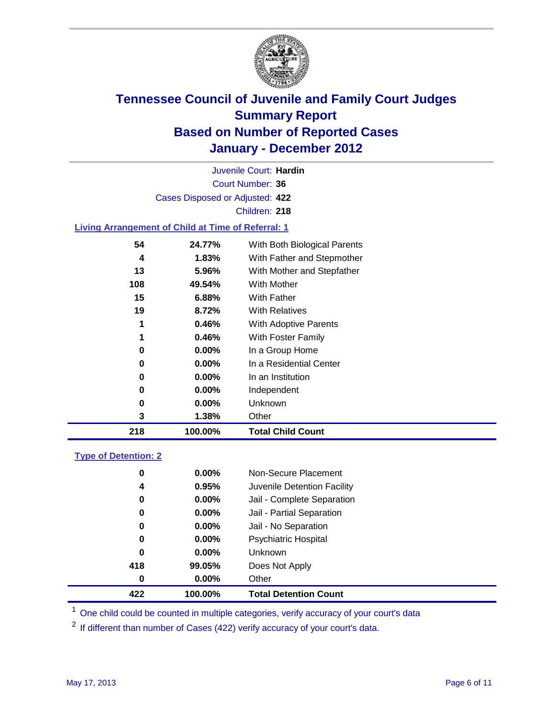

Court Number: **36** Juvenile Court: **Hardin** Cases Disposed or Adjusted: **422** Children: **218**

### **Living Arrangement of Child at Time of Referral: 1**

| 218 | 100.00%  | <b>Total Child Count</b>     |
|-----|----------|------------------------------|
| 3   | 1.38%    | Other                        |
| 0   | $0.00\%$ | <b>Unknown</b>               |
| 0   | 0.00%    | Independent                  |
| 0   | $0.00\%$ | In an Institution            |
| 0   | $0.00\%$ | In a Residential Center      |
| 0   | $0.00\%$ | In a Group Home              |
| 1   | 0.46%    | With Foster Family           |
| 1   | 0.46%    | With Adoptive Parents        |
| 19  | 8.72%    | <b>With Relatives</b>        |
| 15  | 6.88%    | <b>With Father</b>           |
| 108 | 49.54%   | With Mother                  |
| 13  | 5.96%    | With Mother and Stepfather   |
| 4   | 1.83%    | With Father and Stepmother   |
| 54  | 24.77%   | With Both Biological Parents |
|     |          |                              |

#### **Type of Detention: 2**

| 422 | 100.00%  | <b>Total Detention Count</b> |  |
|-----|----------|------------------------------|--|
| 0   | $0.00\%$ | Other                        |  |
| 418 | 99.05%   | Does Not Apply               |  |
| 0   | $0.00\%$ | Unknown                      |  |
| 0   | 0.00%    | <b>Psychiatric Hospital</b>  |  |
| 0   | 0.00%    | Jail - No Separation         |  |
| 0   | $0.00\%$ | Jail - Partial Separation    |  |
| 0   | $0.00\%$ | Jail - Complete Separation   |  |
| 4   | 0.95%    | Juvenile Detention Facility  |  |
| 0   | $0.00\%$ | Non-Secure Placement         |  |
|     |          |                              |  |

<sup>1</sup> One child could be counted in multiple categories, verify accuracy of your court's data

<sup>2</sup> If different than number of Cases (422) verify accuracy of your court's data.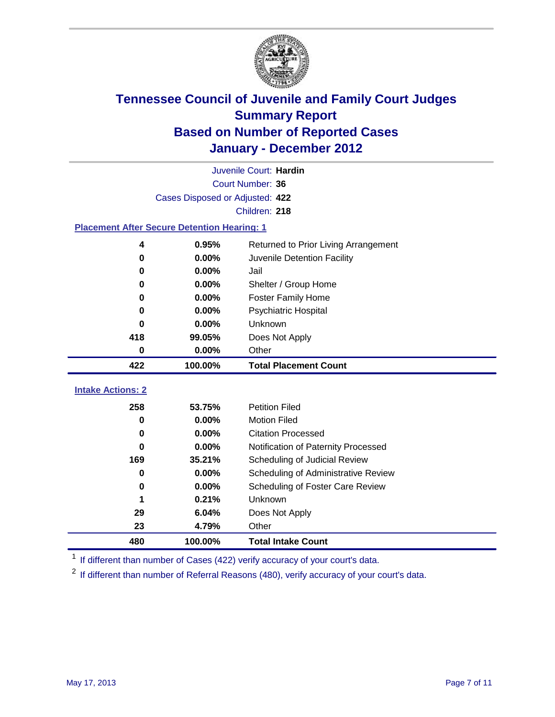

|                                                    | Juvenile Court: Hardin               |                                      |  |  |  |
|----------------------------------------------------|--------------------------------------|--------------------------------------|--|--|--|
|                                                    | Court Number: 36                     |                                      |  |  |  |
|                                                    | Cases Disposed or Adjusted: 422      |                                      |  |  |  |
|                                                    |                                      | Children: 218                        |  |  |  |
| <b>Placement After Secure Detention Hearing: 1</b> |                                      |                                      |  |  |  |
| 4                                                  | 0.95%                                | Returned to Prior Living Arrangement |  |  |  |
| $\bf{0}$                                           | 0.00%                                | Juvenile Detention Facility          |  |  |  |
| $\bf{0}$                                           | 0.00%                                | Jail                                 |  |  |  |
| 0                                                  | 0.00%                                | Shelter / Group Home                 |  |  |  |
| 0                                                  | 0.00%                                | Foster Family Home                   |  |  |  |
| 0                                                  | 0.00%                                | Psychiatric Hospital                 |  |  |  |
| 0                                                  | $0.00\%$                             | Unknown                              |  |  |  |
| 418<br>99.05%                                      |                                      | Does Not Apply                       |  |  |  |
| $\mathbf 0$<br>$0.00\%$<br>Other                   |                                      |                                      |  |  |  |
| 422                                                | 100.00%                              | <b>Total Placement Count</b>         |  |  |  |
|                                                    |                                      |                                      |  |  |  |
| <b>Intake Actions: 2</b>                           |                                      |                                      |  |  |  |
| 258                                                | 53.75%                               | <b>Petition Filed</b>                |  |  |  |
| 0                                                  | 0.00%                                | <b>Motion Filed</b>                  |  |  |  |
| 0                                                  | 0.00%                                | <b>Citation Processed</b>            |  |  |  |
| 0                                                  | 0.00%                                | Notification of Paternity Processed  |  |  |  |
| 169                                                | 35.21%                               | Scheduling of Judicial Review        |  |  |  |
| 0                                                  | 0.00%                                | Scheduling of Administrative Review  |  |  |  |
| 0                                                  | 0.00%                                | Scheduling of Foster Care Review     |  |  |  |
| 1                                                  | 0.21%                                | Unknown                              |  |  |  |
| 29                                                 | 6.04%                                | Does Not Apply                       |  |  |  |
| 23                                                 | 4.79%<br>Other                       |                                      |  |  |  |
| 480                                                | 100.00%<br><b>Total Intake Count</b> |                                      |  |  |  |

<sup>1</sup> If different than number of Cases (422) verify accuracy of your court's data.

<sup>2</sup> If different than number of Referral Reasons (480), verify accuracy of your court's data.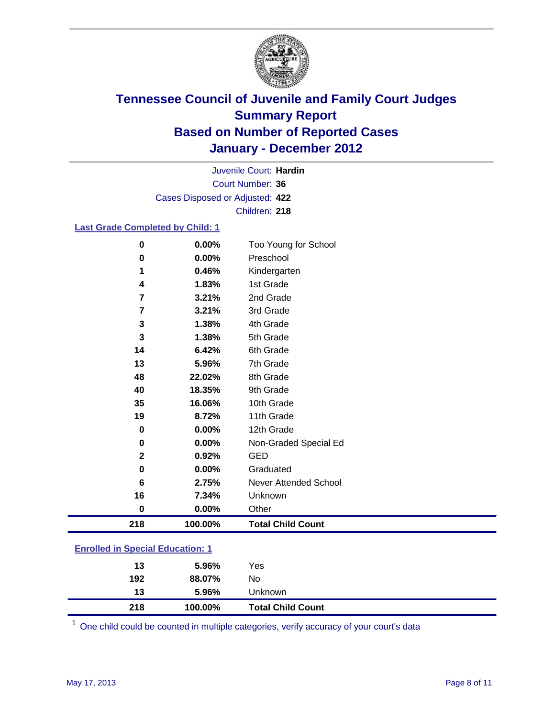

Court Number: **36** Juvenile Court: **Hardin** Cases Disposed or Adjusted: **422** Children: **218**

#### **Last Grade Completed by Child: 1**

| 0                                       | 0.00%   | Too Young for School         |
|-----------------------------------------|---------|------------------------------|
| $\mathbf 0$                             | 0.00%   | Preschool                    |
| 1                                       | 0.46%   | Kindergarten                 |
| 4                                       | 1.83%   | 1st Grade                    |
| 7                                       | 3.21%   | 2nd Grade                    |
| 7                                       | 3.21%   | 3rd Grade                    |
| 3                                       | 1.38%   | 4th Grade                    |
| 3                                       | 1.38%   | 5th Grade                    |
| 14                                      | 6.42%   | 6th Grade                    |
| 13                                      | 5.96%   | 7th Grade                    |
| 48                                      | 22.02%  | 8th Grade                    |
| 40                                      | 18.35%  | 9th Grade                    |
| 35                                      | 16.06%  | 10th Grade                   |
| 19                                      | 8.72%   | 11th Grade                   |
| $\bf{0}$                                | 0.00%   | 12th Grade                   |
| 0                                       | 0.00%   | Non-Graded Special Ed        |
| $\mathbf{2}$                            | 0.92%   | <b>GED</b>                   |
| $\pmb{0}$                               | 0.00%   | Graduated                    |
| 6                                       | 2.75%   | <b>Never Attended School</b> |
| 16                                      | 7.34%   | Unknown                      |
| $\bf{0}$                                | 0.00%   | Other                        |
| 218                                     | 100.00% | <b>Total Child Count</b>     |
| <b>Enrolled in Special Education: 1</b> |         |                              |

| 218                                     | 100.00%  | <b>Total Child Count</b> |  |
|-----------------------------------------|----------|--------------------------|--|
| 13                                      | $5.96\%$ | Unknown                  |  |
| 192                                     | 88.07%   | No.                      |  |
| 13                                      | $5.96\%$ | Yes                      |  |
| <b>Enrolled in Special Education: 1</b> |          |                          |  |

One child could be counted in multiple categories, verify accuracy of your court's data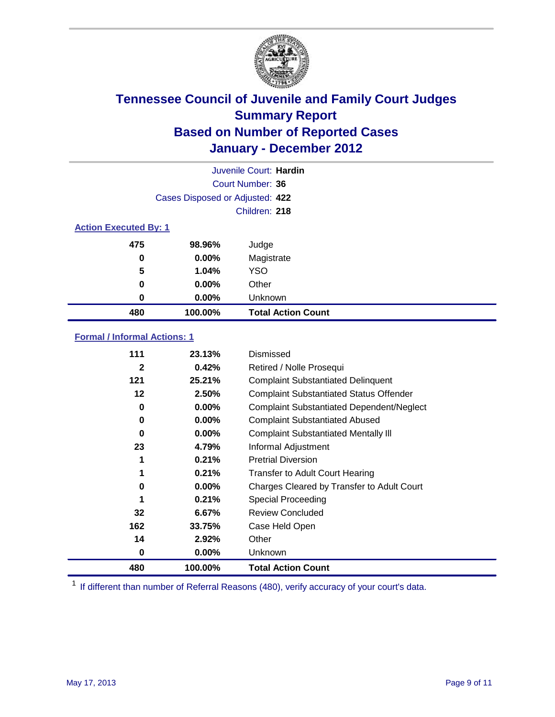

|                              | Juvenile Court: Hardin          |                           |  |  |  |
|------------------------------|---------------------------------|---------------------------|--|--|--|
|                              | Court Number: 36                |                           |  |  |  |
|                              | Cases Disposed or Adjusted: 422 |                           |  |  |  |
|                              |                                 | Children: 218             |  |  |  |
| <b>Action Executed By: 1</b> |                                 |                           |  |  |  |
| 475                          | 98.96%                          | Judge                     |  |  |  |
| 0                            | $0.00\%$                        | Magistrate                |  |  |  |
| 5                            | 1.04%                           | <b>YSO</b>                |  |  |  |
| 0                            | 0.00%                           | Other                     |  |  |  |
| 0                            | 0.00%                           | Unknown                   |  |  |  |
| 480                          | 100.00%                         | <b>Total Action Count</b> |  |  |  |

### **Formal / Informal Actions: 1**

| 111          | 23.13%   | Dismissed                                        |
|--------------|----------|--------------------------------------------------|
| $\mathbf{2}$ | 0.42%    | Retired / Nolle Prosequi                         |
| 121          | 25.21%   | <b>Complaint Substantiated Delinquent</b>        |
| 12           | 2.50%    | <b>Complaint Substantiated Status Offender</b>   |
| 0            | $0.00\%$ | <b>Complaint Substantiated Dependent/Neglect</b> |
| 0            | 0.00%    | <b>Complaint Substantiated Abused</b>            |
| $\bf{0}$     | $0.00\%$ | <b>Complaint Substantiated Mentally III</b>      |
| 23           | 4.79%    | Informal Adjustment                              |
| 1            | 0.21%    | <b>Pretrial Diversion</b>                        |
|              | 0.21%    | <b>Transfer to Adult Court Hearing</b>           |
| 0            | 0.00%    | Charges Cleared by Transfer to Adult Court       |
|              | 0.21%    | Special Proceeding                               |
| 32           | 6.67%    | <b>Review Concluded</b>                          |
| 162          | 33.75%   | Case Held Open                                   |
| 14           | 2.92%    | Other                                            |
| 0            | $0.00\%$ | <b>Unknown</b>                                   |
| 480          | 100.00%  | <b>Total Action Count</b>                        |

<sup>1</sup> If different than number of Referral Reasons (480), verify accuracy of your court's data.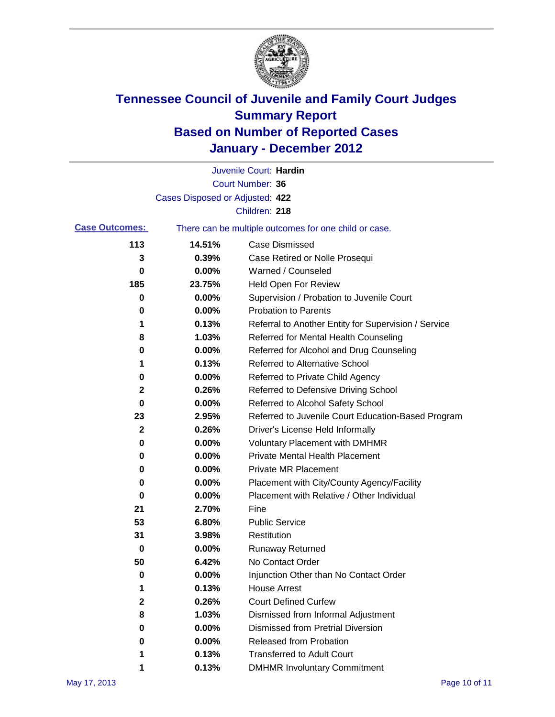

|                       |                                 | Juvenile Court: Hardin                                |
|-----------------------|---------------------------------|-------------------------------------------------------|
|                       |                                 | <b>Court Number: 36</b>                               |
|                       | Cases Disposed or Adjusted: 422 |                                                       |
|                       |                                 | Children: 218                                         |
| <b>Case Outcomes:</b> |                                 | There can be multiple outcomes for one child or case. |
| 113                   | 14.51%                          | <b>Case Dismissed</b>                                 |
| 3                     | 0.39%                           | Case Retired or Nolle Prosequi                        |
| 0                     | 0.00%                           | Warned / Counseled                                    |
| 185                   | 23.75%                          | Held Open For Review                                  |
| 0                     | 0.00%                           | Supervision / Probation to Juvenile Court             |
| 0                     | 0.00%                           | <b>Probation to Parents</b>                           |
| 1                     | 0.13%                           | Referral to Another Entity for Supervision / Service  |
| 8                     | 1.03%                           | Referred for Mental Health Counseling                 |
| 0                     | 0.00%                           | Referred for Alcohol and Drug Counseling              |
| 1                     | 0.13%                           | <b>Referred to Alternative School</b>                 |
| 0                     | 0.00%                           | Referred to Private Child Agency                      |
| 2                     | 0.26%                           | Referred to Defensive Driving School                  |
| 0                     | 0.00%                           | Referred to Alcohol Safety School                     |
| 23                    | 2.95%                           | Referred to Juvenile Court Education-Based Program    |
| 2                     | 0.26%                           | Driver's License Held Informally                      |
| 0                     | 0.00%                           | <b>Voluntary Placement with DMHMR</b>                 |
| 0                     | 0.00%                           | Private Mental Health Placement                       |
| 0                     | 0.00%                           | <b>Private MR Placement</b>                           |
| 0                     | 0.00%                           | Placement with City/County Agency/Facility            |
| 0                     | 0.00%                           | Placement with Relative / Other Individual            |
| 21                    | 2.70%                           | Fine                                                  |
| 53                    | 6.80%                           | <b>Public Service</b>                                 |
| 31                    | 3.98%                           | Restitution                                           |
| 0                     | 0.00%                           | <b>Runaway Returned</b>                               |
| 50                    | 6.42%                           | No Contact Order                                      |
| 0                     | 0.00%                           | Injunction Other than No Contact Order                |
|                       | 0.13%                           | <b>House Arrest</b>                                   |
| 2                     | 0.26%                           | <b>Court Defined Curfew</b>                           |
| 8                     | 1.03%                           | Dismissed from Informal Adjustment                    |
| 0                     | 0.00%                           | <b>Dismissed from Pretrial Diversion</b>              |
| 0                     | 0.00%                           | Released from Probation                               |
| 1                     | 0.13%                           | <b>Transferred to Adult Court</b>                     |
| 1                     | 0.13%                           | <b>DMHMR Involuntary Commitment</b>                   |